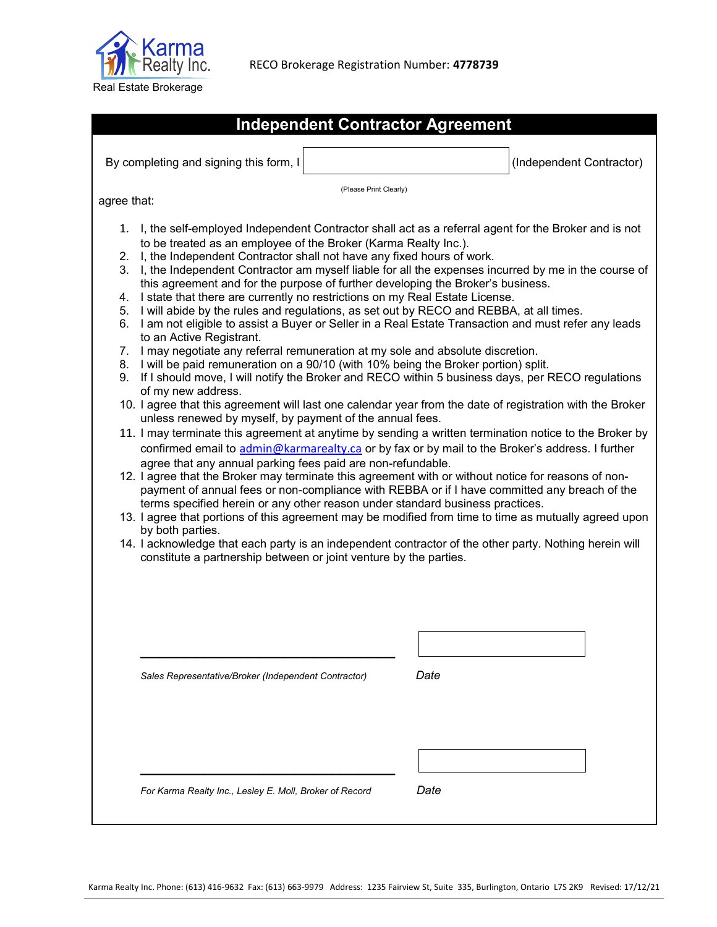

|                                                    | <b>Independent Contractor Agreement</b>                                                                                                                                                                                                                                                                                                                                                                                                                                                                                                                                                                                                                                                                                                                                                                                                                                                                                                                                                                                                  |                                                                                                                                                                                                                                                                                                                                                                                                                                                                                                                                                                                                                                                                                                                                                                                                                                                                                                                                                                                                                                                                    |
|----------------------------------------------------|------------------------------------------------------------------------------------------------------------------------------------------------------------------------------------------------------------------------------------------------------------------------------------------------------------------------------------------------------------------------------------------------------------------------------------------------------------------------------------------------------------------------------------------------------------------------------------------------------------------------------------------------------------------------------------------------------------------------------------------------------------------------------------------------------------------------------------------------------------------------------------------------------------------------------------------------------------------------------------------------------------------------------------------|--------------------------------------------------------------------------------------------------------------------------------------------------------------------------------------------------------------------------------------------------------------------------------------------------------------------------------------------------------------------------------------------------------------------------------------------------------------------------------------------------------------------------------------------------------------------------------------------------------------------------------------------------------------------------------------------------------------------------------------------------------------------------------------------------------------------------------------------------------------------------------------------------------------------------------------------------------------------------------------------------------------------------------------------------------------------|
|                                                    | By completing and signing this form, I                                                                                                                                                                                                                                                                                                                                                                                                                                                                                                                                                                                                                                                                                                                                                                                                                                                                                                                                                                                                   | (Independent Contractor)                                                                                                                                                                                                                                                                                                                                                                                                                                                                                                                                                                                                                                                                                                                                                                                                                                                                                                                                                                                                                                           |
|                                                    |                                                                                                                                                                                                                                                                                                                                                                                                                                                                                                                                                                                                                                                                                                                                                                                                                                                                                                                                                                                                                                          |                                                                                                                                                                                                                                                                                                                                                                                                                                                                                                                                                                                                                                                                                                                                                                                                                                                                                                                                                                                                                                                                    |
| agree that:                                        | (Please Print Clearly)                                                                                                                                                                                                                                                                                                                                                                                                                                                                                                                                                                                                                                                                                                                                                                                                                                                                                                                                                                                                                   |                                                                                                                                                                                                                                                                                                                                                                                                                                                                                                                                                                                                                                                                                                                                                                                                                                                                                                                                                                                                                                                                    |
| 1.<br>2.<br>3.<br>4.<br>5.<br>6.<br>7.<br>8.<br>9. | to be treated as an employee of the Broker (Karma Realty Inc.).<br>I, the Independent Contractor shall not have any fixed hours of work.<br>this agreement and for the purpose of further developing the Broker's business.<br>I state that there are currently no restrictions on my Real Estate License.<br>I will abide by the rules and regulations, as set out by RECO and REBBA, at all times.<br>to an Active Registrant.<br>I may negotiate any referral remuneration at my sole and absolute discretion.<br>I will be paid remuneration on a 90/10 (with 10% being the Broker portion) split.<br>of my new address.<br>unless renewed by myself, by payment of the annual fees.<br>agree that any annual parking fees paid are non-refundable.<br>12. I agree that the Broker may terminate this agreement with or without notice for reasons of non-<br>terms specified herein or any other reason under standard business practices.<br>by both parties.<br>constitute a partnership between or joint venture by the parties. | I, the self-employed Independent Contractor shall act as a referral agent for the Broker and is not<br>I, the Independent Contractor am myself liable for all the expenses incurred by me in the course of<br>I am not eligible to assist a Buyer or Seller in a Real Estate Transaction and must refer any leads<br>If I should move, I will notify the Broker and RECO within 5 business days, per RECO regulations<br>10. I agree that this agreement will last one calendar year from the date of registration with the Broker<br>11. I may terminate this agreement at anytime by sending a written termination notice to the Broker by<br>confirmed email to admin@karmarealty.ca or by fax or by mail to the Broker's address. I further<br>payment of annual fees or non-compliance with REBBA or if I have committed any breach of the<br>13. I agree that portions of this agreement may be modified from time to time as mutually agreed upon<br>14. I acknowledge that each party is an independent contractor of the other party. Nothing herein will |
|                                                    |                                                                                                                                                                                                                                                                                                                                                                                                                                                                                                                                                                                                                                                                                                                                                                                                                                                                                                                                                                                                                                          |                                                                                                                                                                                                                                                                                                                                                                                                                                                                                                                                                                                                                                                                                                                                                                                                                                                                                                                                                                                                                                                                    |
|                                                    |                                                                                                                                                                                                                                                                                                                                                                                                                                                                                                                                                                                                                                                                                                                                                                                                                                                                                                                                                                                                                                          |                                                                                                                                                                                                                                                                                                                                                                                                                                                                                                                                                                                                                                                                                                                                                                                                                                                                                                                                                                                                                                                                    |
|                                                    | Sales Representative/Broker (Independent Contractor)                                                                                                                                                                                                                                                                                                                                                                                                                                                                                                                                                                                                                                                                                                                                                                                                                                                                                                                                                                                     | Date                                                                                                                                                                                                                                                                                                                                                                                                                                                                                                                                                                                                                                                                                                                                                                                                                                                                                                                                                                                                                                                               |
|                                                    |                                                                                                                                                                                                                                                                                                                                                                                                                                                                                                                                                                                                                                                                                                                                                                                                                                                                                                                                                                                                                                          |                                                                                                                                                                                                                                                                                                                                                                                                                                                                                                                                                                                                                                                                                                                                                                                                                                                                                                                                                                                                                                                                    |
|                                                    |                                                                                                                                                                                                                                                                                                                                                                                                                                                                                                                                                                                                                                                                                                                                                                                                                                                                                                                                                                                                                                          |                                                                                                                                                                                                                                                                                                                                                                                                                                                                                                                                                                                                                                                                                                                                                                                                                                                                                                                                                                                                                                                                    |
|                                                    |                                                                                                                                                                                                                                                                                                                                                                                                                                                                                                                                                                                                                                                                                                                                                                                                                                                                                                                                                                                                                                          |                                                                                                                                                                                                                                                                                                                                                                                                                                                                                                                                                                                                                                                                                                                                                                                                                                                                                                                                                                                                                                                                    |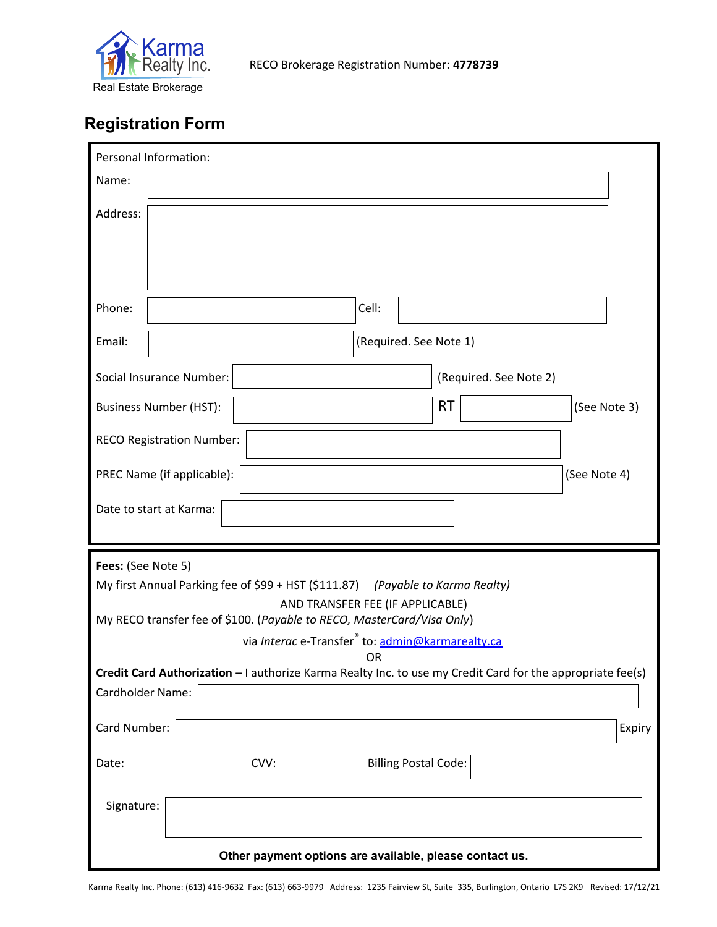

## **Registration Form**

| Personal Information:                                                                                                                  |                             |                        |              |  |  |  |  |  |
|----------------------------------------------------------------------------------------------------------------------------------------|-----------------------------|------------------------|--------------|--|--|--|--|--|
| Name:                                                                                                                                  |                             |                        |              |  |  |  |  |  |
| Address:                                                                                                                               |                             |                        |              |  |  |  |  |  |
| Phone:                                                                                                                                 | Cell:                       |                        |              |  |  |  |  |  |
| Email:                                                                                                                                 | (Required. See Note 1)      |                        |              |  |  |  |  |  |
| Social Insurance Number:                                                                                                               |                             | (Required. See Note 2) |              |  |  |  |  |  |
| <b>Business Number (HST):</b>                                                                                                          |                             | <b>RT</b>              | (See Note 3) |  |  |  |  |  |
| <b>RECO Registration Number:</b>                                                                                                       |                             |                        |              |  |  |  |  |  |
| PREC Name (if applicable):                                                                                                             |                             |                        | (See Note 4) |  |  |  |  |  |
| Date to start at Karma:                                                                                                                |                             |                        |              |  |  |  |  |  |
|                                                                                                                                        |                             |                        |              |  |  |  |  |  |
| Fees: (See Note 5)<br>My first Annual Parking fee of \$99 + HST (\$111.87) (Payable to Karma Realty)                                   |                             |                        |              |  |  |  |  |  |
| AND TRANSFER FEE (IF APPLICABLE)                                                                                                       |                             |                        |              |  |  |  |  |  |
| My RECO transfer fee of \$100. (Payable to RECO, MasterCard/Visa Only)<br>via Interac e-Transfer <sup>®</sup> to: admin@karmarealty.ca |                             |                        |              |  |  |  |  |  |
| OR<br>Credit Card Authorization - I authorize Karma Realty Inc. to use my Credit Card for the appropriate fee(s)                       |                             |                        |              |  |  |  |  |  |
| Cardholder Name:                                                                                                                       |                             |                        |              |  |  |  |  |  |
| Card Number:                                                                                                                           |                             |                        | Expiry       |  |  |  |  |  |
| CVV:<br>Date:                                                                                                                          | <b>Billing Postal Code:</b> |                        |              |  |  |  |  |  |
| Signature:                                                                                                                             |                             |                        |              |  |  |  |  |  |
| Other payment options are available, please contact us.                                                                                |                             |                        |              |  |  |  |  |  |

Karma Realty Inc. Phone: (613) 416-9632 Fax: (613) 663-9979 Address: 1235 Fairview St, Suite 335, Burlington, Ontario L7S 2K9 Revised: 17/12/21